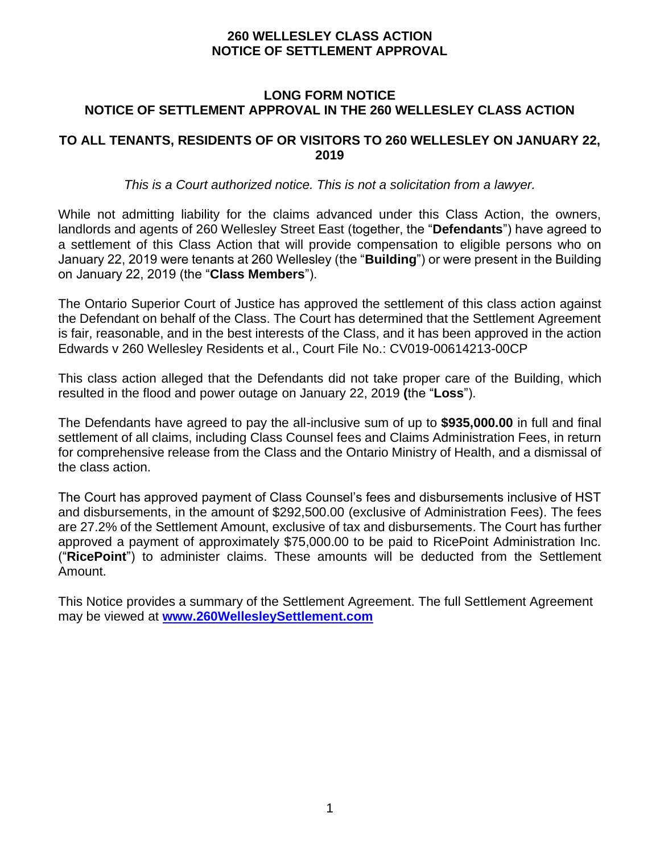#### **LONG FORM NOTICE NOTICE OF SETTLEMENT APPROVAL IN THE 260 WELLESLEY CLASS ACTION**

#### **TO ALL TENANTS, RESIDENTS OF OR VISITORS TO 260 WELLESLEY ON JANUARY 22, 2019**

*This is a Court authorized notice. This is not a solicitation from a lawyer.*

While not admitting liability for the claims advanced under this Class Action, the owners, landlords and agents of 260 Wellesley Street East (together, the "**Defendants**") have agreed to a settlement of this Class Action that will provide compensation to eligible persons who on January 22, 2019 were tenants at 260 Wellesley (the "**Building**") or were present in the Building on January 22, 2019 (the "**Class Members**").

The Ontario Superior Court of Justice has approved the settlement of this class action against the Defendant on behalf of the Class. The Court has determined that the Settlement Agreement is fair, reasonable, and in the best interests of the Class, and it has been approved in the action Edwards v 260 Wellesley Residents et al., Court File No.: CV019-00614213-00CP

This class action alleged that the Defendants did not take proper care of the Building, which resulted in the flood and power outage on January 22, 2019 **(**the "**Loss**").

The Defendants have agreed to pay the all-inclusive sum of up to **\$935,000.00** in full and final settlement of all claims, including Class Counsel fees and Claims Administration Fees, in return for comprehensive release from the Class and the Ontario Ministry of Health, and a dismissal of the class action.

The Court has approved payment of Class Counsel's fees and disbursements inclusive of HST and disbursements, in the amount of \$292,500.00 (exclusive of Administration Fees). The fees are 27.2% of the Settlement Amount, exclusive of tax and disbursements. The Court has further approved a payment of approximately \$75,000.00 to be paid to RicePoint Administration Inc. ("**RicePoint**") to administer claims. These amounts will be deducted from the Settlement Amount.

This Notice provides a summary of the Settlement Agreement. The full Settlement Agreement may be viewed at **[www.260WellesleySettlement.com](http://www.260wellesleysettlement.com/)**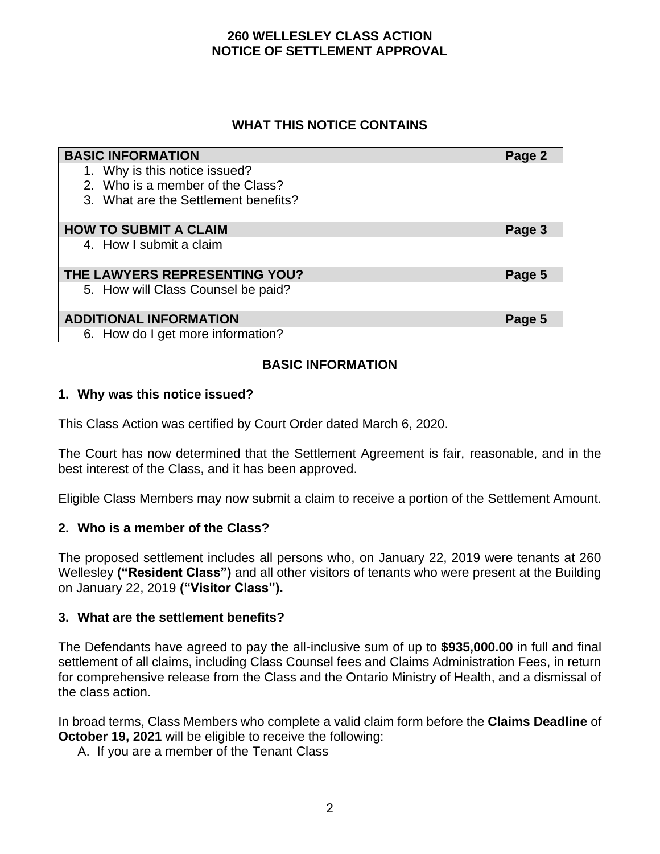### **WHAT THIS NOTICE CONTAINS**

| <b>BASIC INFORMATION</b>             | Page 2 |
|--------------------------------------|--------|
| 1. Why is this notice issued?        |        |
| 2. Who is a member of the Class?     |        |
| 3. What are the Settlement benefits? |        |
| <b>HOW TO SUBMIT A CLAIM</b>         | Page 3 |
| 4. How I submit a claim              |        |
| THE LAWYERS REPRESENTING YOU?        | Page 5 |
| 5. How will Class Counsel be paid?   |        |
| <b>ADDITIONAL INFORMATION</b>        | Page 5 |
| 6. How do I get more information?    |        |

# **BASIC INFORMATION**

#### **1. Why was this notice issued?**

This Class Action was certified by Court Order dated March 6, 2020.

The Court has now determined that the Settlement Agreement is fair, reasonable, and in the best interest of the Class, and it has been approved.

Eligible Class Members may now submit a claim to receive a portion of the Settlement Amount.

#### **2. Who is a member of the Class?**

The proposed settlement includes all persons who, on January 22, 2019 were tenants at 260 Wellesley **("Resident Class")** and all other visitors of tenants who were present at the Building on January 22, 2019 **("Visitor Class").**

#### **3. What are the settlement benefits?**

The Defendants have agreed to pay the all-inclusive sum of up to **\$935,000.00** in full and final settlement of all claims, including Class Counsel fees and Claims Administration Fees, in return for comprehensive release from the Class and the Ontario Ministry of Health, and a dismissal of the class action.

In broad terms, Class Members who complete a valid claim form before the **Claims Deadline** of **October 19, 2021** will be eligible to receive the following:

A. If you are a member of the Tenant Class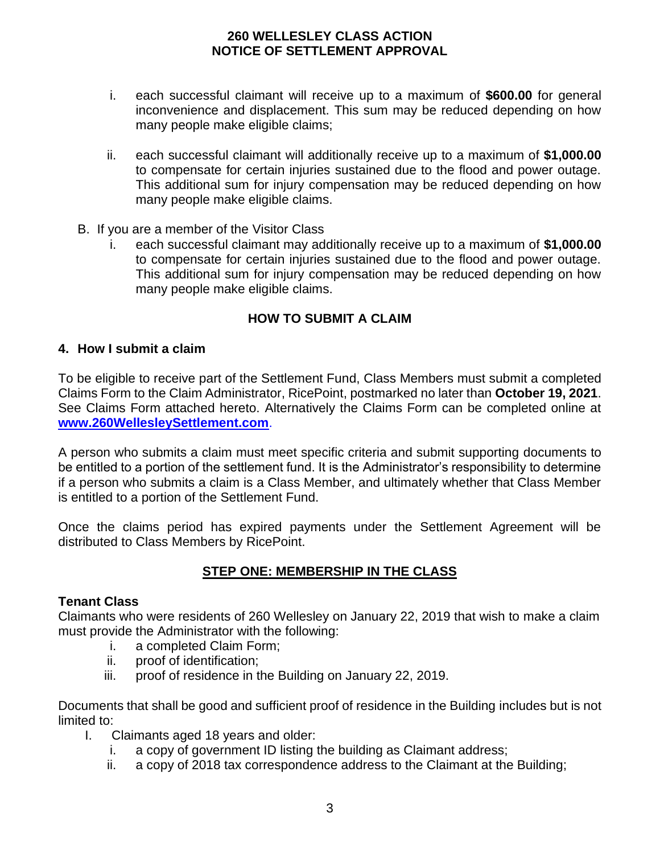- i. each successful claimant will receive up to a maximum of **\$600.00** for general inconvenience and displacement. This sum may be reduced depending on how many people make eligible claims;
- ii. each successful claimant will additionally receive up to a maximum of **\$1,000.00** to compensate for certain injuries sustained due to the flood and power outage. This additional sum for injury compensation may be reduced depending on how many people make eligible claims.
- B. If you are a member of the Visitor Class
	- i. each successful claimant may additionally receive up to a maximum of **\$1,000.00** to compensate for certain injuries sustained due to the flood and power outage. This additional sum for injury compensation may be reduced depending on how many people make eligible claims.

# **HOW TO SUBMIT A CLAIM**

#### **4. How I submit a claim**

To be eligible to receive part of the Settlement Fund, Class Members must submit a completed Claims Form to the Claim Administrator, RicePoint, postmarked no later than **October 19, 2021**. See Claims Form attached hereto. Alternatively the Claims Form can be completed online at **[www.260WellesleySettlement.com](http://www.260wellesleysettlement.com/)**.

A person who submits a claim must meet specific criteria and submit supporting documents to be entitled to a portion of the settlement fund. It is the Administrator's responsibility to determine if a person who submits a claim is a Class Member, and ultimately whether that Class Member is entitled to a portion of the Settlement Fund.

Once the claims period has expired payments under the Settlement Agreement will be distributed to Class Members by RicePoint.

# **STEP ONE: MEMBERSHIP IN THE CLASS**

#### **Tenant Class**

Claimants who were residents of 260 Wellesley on January 22, 2019 that wish to make a claim must provide the Administrator with the following:

- i. a completed Claim Form;
- ii. proof of identification;
- iii. proof of residence in the Building on January 22, 2019.

Documents that shall be good and sufficient proof of residence in the Building includes but is not limited to:

- I. Claimants aged 18 years and older:
	- i. a copy of government ID listing the building as Claimant address;
	- ii. a copy of 2018 tax correspondence address to the Claimant at the Building;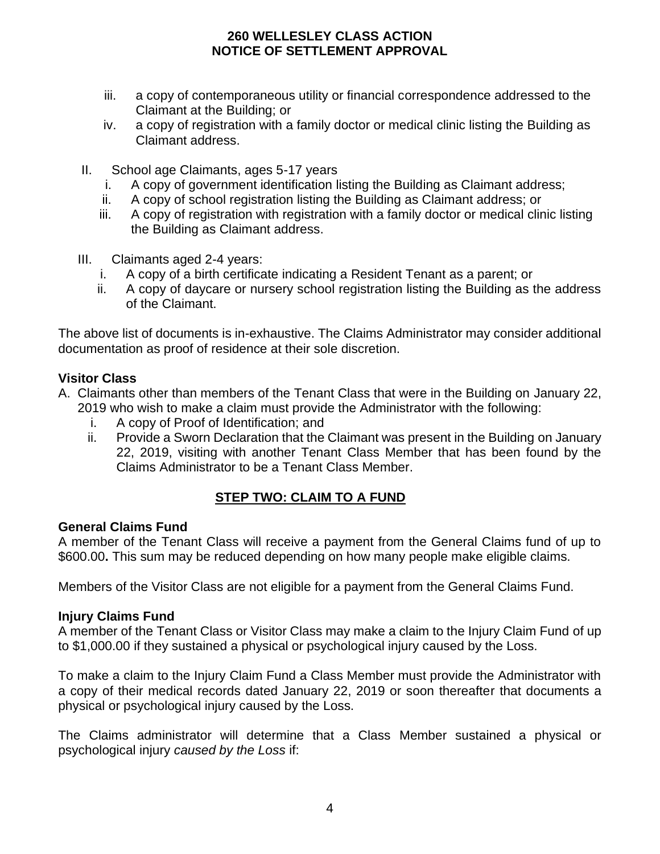- iii. a copy of contemporaneous utility or financial correspondence addressed to the Claimant at the Building; or
- iv. a copy of registration with a family doctor or medical clinic listing the Building as Claimant address.
- II. School age Claimants, ages 5-17 years
	- i. A copy of government identification listing the Building as Claimant address;
	- ii. A copy of school registration listing the Building as Claimant address; or
	- iii. A copy of registration with registration with a family doctor or medical clinic listing the Building as Claimant address.
- III. Claimants aged 2-4 years:
	- i. A copy of a birth certificate indicating a Resident Tenant as a parent; or
	- ii. A copy of daycare or nursery school registration listing the Building as the address of the Claimant.

The above list of documents is in-exhaustive. The Claims Administrator may consider additional documentation as proof of residence at their sole discretion.

### **Visitor Class**

- A. Claimants other than members of the Tenant Class that were in the Building on January 22, 2019 who wish to make a claim must provide the Administrator with the following:
	- i. A copy of Proof of Identification; and
	- ii. Provide a Sworn Declaration that the Claimant was present in the Building on January 22, 2019, visiting with another Tenant Class Member that has been found by the Claims Administrator to be a Tenant Class Member.

# **STEP TWO: CLAIM TO A FUND**

#### **General Claims Fund**

A member of the Tenant Class will receive a payment from the General Claims fund of up to \$600.00**.** This sum may be reduced depending on how many people make eligible claims.

Members of the Visitor Class are not eligible for a payment from the General Claims Fund.

#### **Injury Claims Fund**

A member of the Tenant Class or Visitor Class may make a claim to the Injury Claim Fund of up to \$1,000.00 if they sustained a physical or psychological injury caused by the Loss.

To make a claim to the Injury Claim Fund a Class Member must provide the Administrator with a copy of their medical records dated January 22, 2019 or soon thereafter that documents a physical or psychological injury caused by the Loss.

The Claims administrator will determine that a Class Member sustained a physical or psychological injury *caused by the Loss* if: